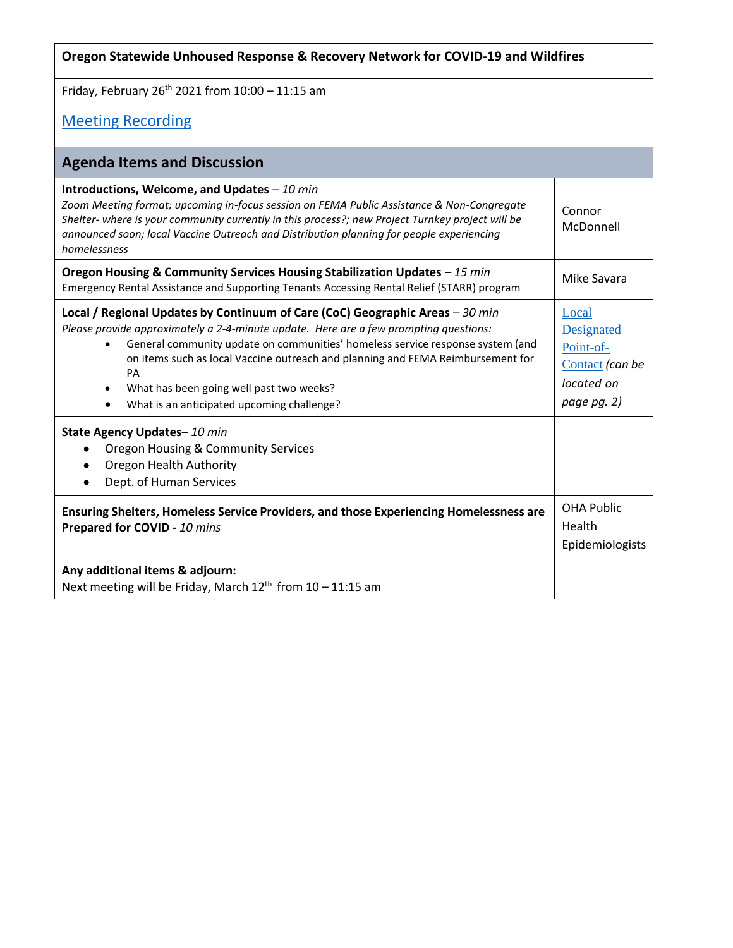| Oregon Statewide Unhoused Response & Recovery Network for COVID-19 and Wildfires                                                                                                                                                                                                                                                                                                                                                            |                                                                                  |  |  |  |
|---------------------------------------------------------------------------------------------------------------------------------------------------------------------------------------------------------------------------------------------------------------------------------------------------------------------------------------------------------------------------------------------------------------------------------------------|----------------------------------------------------------------------------------|--|--|--|
| Friday, February 26 <sup>th</sup> 2021 from 10:00 - 11:15 am                                                                                                                                                                                                                                                                                                                                                                                |                                                                                  |  |  |  |
| <b>Meeting Recording</b>                                                                                                                                                                                                                                                                                                                                                                                                                    |                                                                                  |  |  |  |
| <b>Agenda Items and Discussion</b>                                                                                                                                                                                                                                                                                                                                                                                                          |                                                                                  |  |  |  |
| Introductions, Welcome, and Updates - 10 min<br>Zoom Meeting format; upcoming in-focus session on FEMA Public Assistance & Non-Congregate<br>Shelter- where is your community currently in this process?; new Project Turnkey project will be<br>announced soon; local Vaccine Outreach and Distribution planning for people experiencing<br>homelessness                                                                                   | Connor<br>McDonnell                                                              |  |  |  |
| Oregon Housing & Community Services Housing Stabilization Updates - 15 min<br>Emergency Rental Assistance and Supporting Tenants Accessing Rental Relief (STARR) program                                                                                                                                                                                                                                                                    | Mike Savara                                                                      |  |  |  |
| Local / Regional Updates by Continuum of Care (CoC) Geographic Areas - 30 min<br>Please provide approximately a 2-4-minute update. Here are a few prompting questions:<br>General community update on communities' homeless service response system (and<br>on items such as local Vaccine outreach and planning and FEMA Reimbursement for<br>PA<br>What has been going well past two weeks?<br>What is an anticipated upcoming challenge? | Local<br>Designated<br>Point-of-<br>Contact (can be<br>located on<br>page pg. 2) |  |  |  |
| State Agency Updates-10 min<br><b>Oregon Housing &amp; Community Services</b><br>Oregon Health Authority<br>Dept. of Human Services                                                                                                                                                                                                                                                                                                         |                                                                                  |  |  |  |
| Ensuring Shelters, Homeless Service Providers, and those Experiencing Homelessness are<br>Prepared for COVID - 10 mins                                                                                                                                                                                                                                                                                                                      | <b>OHA Public</b><br>Health<br>Epidemiologists                                   |  |  |  |
| Any additional items & adjourn:<br>Next meeting will be Friday, March 12 <sup>th</sup> from 10 - 11:15 am                                                                                                                                                                                                                                                                                                                                   |                                                                                  |  |  |  |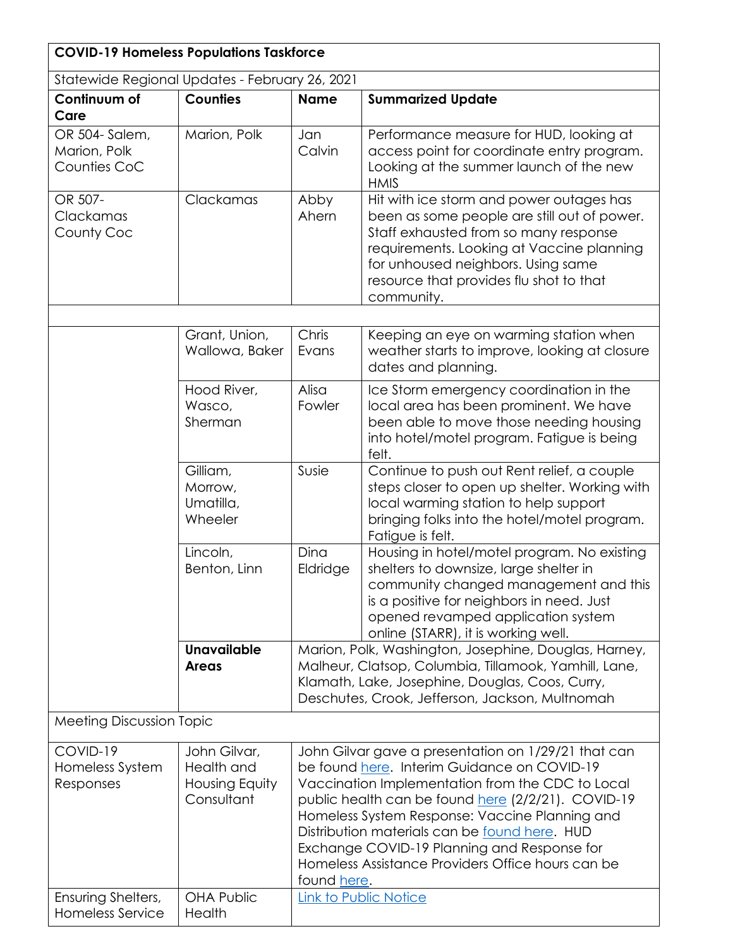| <b>COVID-19 Homeless Populations Taskforce</b> |                                                            |                                                                                                                                                                                                                                                                                                                                                                                                                                    |                                                                                                                                                                                                                                                                              |  |  |
|------------------------------------------------|------------------------------------------------------------|------------------------------------------------------------------------------------------------------------------------------------------------------------------------------------------------------------------------------------------------------------------------------------------------------------------------------------------------------------------------------------------------------------------------------------|------------------------------------------------------------------------------------------------------------------------------------------------------------------------------------------------------------------------------------------------------------------------------|--|--|
| Statewide Regional Updates - February 26, 2021 |                                                            |                                                                                                                                                                                                                                                                                                                                                                                                                                    |                                                                                                                                                                                                                                                                              |  |  |
| Continuum of                                   | <b>Counties</b>                                            | <b>Name</b>                                                                                                                                                                                                                                                                                                                                                                                                                        | <b>Summarized Update</b>                                                                                                                                                                                                                                                     |  |  |
| Care                                           |                                                            |                                                                                                                                                                                                                                                                                                                                                                                                                                    |                                                                                                                                                                                                                                                                              |  |  |
| OR 504- Salem,<br>Marion, Polk<br>Counties CoC | Marion, Polk                                               | Jan<br>Calvin                                                                                                                                                                                                                                                                                                                                                                                                                      | Performance measure for HUD, looking at<br>access point for coordinate entry program.<br>Looking at the summer launch of the new<br><b>HMIS</b>                                                                                                                              |  |  |
| OR 507-<br>Clackamas<br>County Coc             | Clackamas                                                  | Abby<br>Ahern                                                                                                                                                                                                                                                                                                                                                                                                                      | Hit with ice storm and power outages has<br>been as some people are still out of power.<br>Staff exhausted from so many response<br>requirements. Looking at Vaccine planning<br>for unhoused neighbors. Using same<br>resource that provides flu shot to that<br>community. |  |  |
|                                                |                                                            |                                                                                                                                                                                                                                                                                                                                                                                                                                    |                                                                                                                                                                                                                                                                              |  |  |
|                                                | Grant, Union,<br>Wallowa, Baker                            | Chris<br>Evans                                                                                                                                                                                                                                                                                                                                                                                                                     | Keeping an eye on warming station when<br>weather starts to improve, looking at closure<br>dates and planning.                                                                                                                                                               |  |  |
|                                                | Hood River,<br>Wasco,<br>Sherman                           | Alisa<br>Fowler                                                                                                                                                                                                                                                                                                                                                                                                                    | Ice Storm emergency coordination in the<br>local area has been prominent. We have<br>been able to move those needing housing<br>into hotel/motel program. Fatigue is being<br>felt.                                                                                          |  |  |
|                                                | Gilliam,<br>Morrow,<br>Umatilla,<br>Wheeler                | Susie                                                                                                                                                                                                                                                                                                                                                                                                                              | Continue to push out Rent relief, a couple<br>steps closer to open up shelter. Working with<br>local warming station to help support<br>bringing folks into the hotel/motel program.<br>Fatigue is felt.                                                                     |  |  |
|                                                | Lincoln,<br>Benton, Linn                                   | Dina<br>Eldridge                                                                                                                                                                                                                                                                                                                                                                                                                   | Housing in hotel/motel program. No existing<br>shelters to downsize, large shelter in<br>community changed management and this<br>is a positive for neighbors in need. Just<br>opened revamped application system<br>online (STARR), it is working well.                     |  |  |
|                                                | <b>Unavailable</b><br><b>Areas</b>                         | Marion, Polk, Washington, Josephine, Douglas, Harney,<br>Malheur, Clatsop, Columbia, Tillamook, Yamhill, Lane,<br>Klamath, Lake, Josephine, Douglas, Coos, Curry,<br>Deschutes, Crook, Jefferson, Jackson, Multnomah                                                                                                                                                                                                               |                                                                                                                                                                                                                                                                              |  |  |
| <b>Meeting Discussion Topic</b>                |                                                            |                                                                                                                                                                                                                                                                                                                                                                                                                                    |                                                                                                                                                                                                                                                                              |  |  |
| COVID-19<br>Homeless System<br>Responses       | John Gilvar,<br>Health and<br>Housing Equity<br>Consultant | John Gilvar gave a presentation on 1/29/21 that can<br>be found here. Interim Guidance on COVID-19<br>Vaccination Implementation from the CDC to Local<br>public health can be found here (2/2/21). COVID-19<br>Homeless System Response: Vaccine Planning and<br>Distribution materials can be found here. HUD<br>Exchange COVID-19 Planning and Response for<br>Homeless Assistance Providers Office hours can be<br>found here. |                                                                                                                                                                                                                                                                              |  |  |
| Ensuring Shelters,<br><b>Homeless Service</b>  | <b>OHA Public</b><br>Health                                |                                                                                                                                                                                                                                                                                                                                                                                                                                    | <b>Link to Public Notice</b>                                                                                                                                                                                                                                                 |  |  |